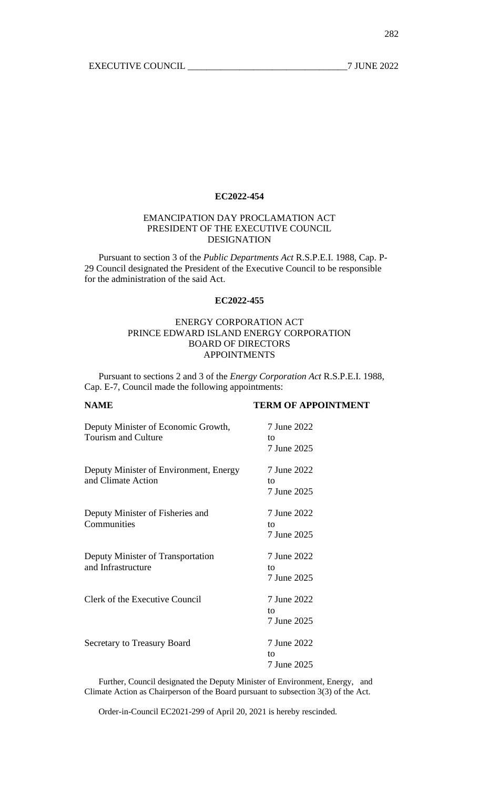## EMANCIPATION DAY PROCLAMATION ACT PRESIDENT OF THE EXECUTIVE COUNCIL DESIGNATION

Pursuant to section 3 of the *Public Departments Act* R.S.P.E.I. 1988, Cap. P-29 Council designated the President of the Executive Council to be responsible for the administration of the said Act.

## **EC2022-455**

# ENERGY CORPORATION ACT PRINCE EDWARD ISLAND ENERGY CORPORATION BOARD OF DIRECTORS APPOINTMENTS

Pursuant to sections 2 and 3 of the *Energy Corporation Act* R.S.P.E.I. 1988, Cap. E-7, Council made the following appointments:

## **NAME TERM OF APPOINTMENT**

| Deputy Minister of Economic Growth,<br><b>Tourism and Culture</b> | 7 June 2022<br>tο<br>7 June 2025 |
|-------------------------------------------------------------------|----------------------------------|
| Deputy Minister of Environment, Energy<br>and Climate Action      | 7 June 2022<br>to<br>7 June 2025 |
| Deputy Minister of Fisheries and<br>Communities                   | 7 June 2022<br>tο<br>7 June 2025 |
| Deputy Minister of Transportation<br>and Infrastructure           | 7 June 2022<br>to<br>7 June 2025 |
| Clerk of the Executive Council                                    | 7 June 2022<br>tο<br>7 June 2025 |
| <b>Secretary to Treasury Board</b>                                | 7 June 2022<br>to<br>7 June 2025 |

Further, Council designated the Deputy Minister of Environment, Energy, and Climate Action as Chairperson of the Board pursuant to subsection 3(3) of the Act.

Order-in-Council EC2021-299 of April 20, 2021 is hereby rescinded.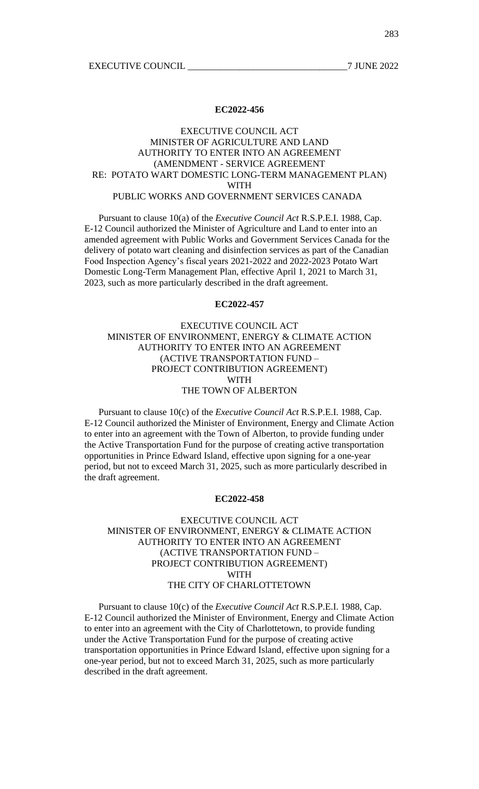## EXECUTIVE COUNCIL ACT MINISTER OF AGRICULTURE AND LAND AUTHORITY TO ENTER INTO AN AGREEMENT (AMENDMENT - SERVICE AGREEMENT RE: POTATO WART DOMESTIC LONG-TERM MANAGEMENT PLAN) WITH PUBLIC WORKS AND GOVERNMENT SERVICES CANADA

Pursuant to clause 10(a) of the *Executive Council Act* R.S.P.E.I. 1988, Cap. E-12 Council authorized the Minister of Agriculture and Land to enter into an amended agreement with Public Works and Government Services Canada for the delivery of potato wart cleaning and disinfection services as part of the Canadian Food Inspection Agency's fiscal years 2021-2022 and 2022-2023 Potato Wart Domestic Long-Term Management Plan, effective April 1, 2021 to March 31, 2023, such as more particularly described in the draft agreement.

#### **EC2022-457**

# EXECUTIVE COUNCIL ACT MINISTER OF ENVIRONMENT, ENERGY & CLIMATE ACTION AUTHORITY TO ENTER INTO AN AGREEMENT (ACTIVE TRANSPORTATION FUND – PROJECT CONTRIBUTION AGREEMENT) WITH THE TOWN OF ALBERTON

Pursuant to clause 10(c) of the *Executive Council Act* R.S.P.E.I. 1988, Cap. E-12 Council authorized the Minister of Environment, Energy and Climate Action to enter into an agreement with the Town of Alberton, to provide funding under the Active Transportation Fund for the purpose of creating active transportation opportunities in Prince Edward Island, effective upon signing for a one-year period, but not to exceed March 31, 2025, such as more particularly described in the draft agreement.

### **EC2022-458**

## EXECUTIVE COUNCIL ACT MINISTER OF ENVIRONMENT, ENERGY & CLIMATE ACTION AUTHORITY TO ENTER INTO AN AGREEMENT (ACTIVE TRANSPORTATION FUND – PROJECT CONTRIBUTION AGREEMENT) WITH THE CITY OF CHARLOTTETOWN

Pursuant to clause 10(c) of the *Executive Council Act* R.S.P.E.I. 1988, Cap. E-12 Council authorized the Minister of Environment, Energy and Climate Action to enter into an agreement with the City of Charlottetown, to provide funding under the Active Transportation Fund for the purpose of creating active transportation opportunities in Prince Edward Island, effective upon signing for a one-year period, but not to exceed March 31, 2025, such as more particularly described in the draft agreement.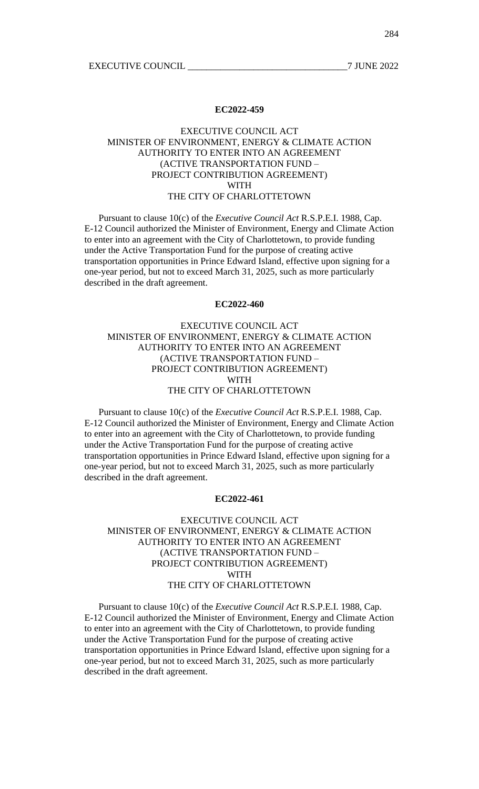EXECUTIVE COUNCIL THE 2022

#### **EC2022-459**

# EXECUTIVE COUNCIL ACT MINISTER OF ENVIRONMENT, ENERGY & CLIMATE ACTION AUTHORITY TO ENTER INTO AN AGREEMENT (ACTIVE TRANSPORTATION FUND – PROJECT CONTRIBUTION AGREEMENT) WITH THE CITY OF CHARLOTTETOWN

Pursuant to clause 10(c) of the *Executive Council Act* R.S.P.E.I. 1988, Cap. E-12 Council authorized the Minister of Environment, Energy and Climate Action to enter into an agreement with the City of Charlottetown, to provide funding under the Active Transportation Fund for the purpose of creating active transportation opportunities in Prince Edward Island, effective upon signing for a one-year period, but not to exceed March 31, 2025, such as more particularly described in the draft agreement.

#### **EC2022-460**

# EXECUTIVE COUNCIL ACT MINISTER OF ENVIRONMENT, ENERGY & CLIMATE ACTION AUTHORITY TO ENTER INTO AN AGREEMENT (ACTIVE TRANSPORTATION FUND – PROJECT CONTRIBUTION AGREEMENT) WITH THE CITY OF CHARLOTTETOWN

Pursuant to clause 10(c) of the *Executive Council Act* R.S.P.E.I. 1988, Cap. E-12 Council authorized the Minister of Environment, Energy and Climate Action to enter into an agreement with the City of Charlottetown, to provide funding under the Active Transportation Fund for the purpose of creating active transportation opportunities in Prince Edward Island, effective upon signing for a one-year period, but not to exceed March 31, 2025, such as more particularly described in the draft agreement.

#### **EC2022-461**

## EXECUTIVE COUNCIL ACT MINISTER OF ENVIRONMENT, ENERGY & CLIMATE ACTION AUTHORITY TO ENTER INTO AN AGREEMENT (ACTIVE TRANSPORTATION FUND – PROJECT CONTRIBUTION AGREEMENT) WITH THE CITY OF CHARLOTTETOWN

Pursuant to clause 10(c) of the *Executive Council Act* R.S.P.E.I. 1988, Cap. E-12 Council authorized the Minister of Environment, Energy and Climate Action to enter into an agreement with the City of Charlottetown, to provide funding under the Active Transportation Fund for the purpose of creating active transportation opportunities in Prince Edward Island, effective upon signing for a one-year period, but not to exceed March 31, 2025, such as more particularly described in the draft agreement.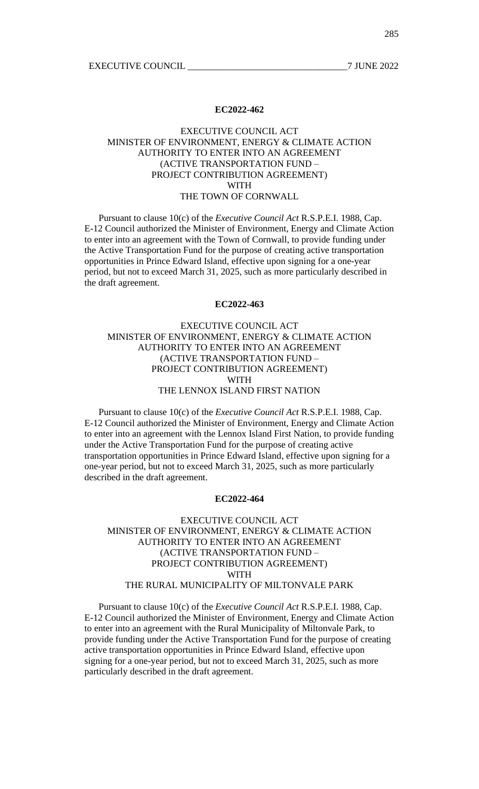EXECUTIVE COUNCIL THE 2022

#### **EC2022-462**

# EXECUTIVE COUNCIL ACT MINISTER OF ENVIRONMENT, ENERGY & CLIMATE ACTION AUTHORITY TO ENTER INTO AN AGREEMENT (ACTIVE TRANSPORTATION FUND – PROJECT CONTRIBUTION AGREEMENT) WITH THE TOWN OF CORNWALL

Pursuant to clause 10(c) of the *Executive Council Act* R.S.P.E.I. 1988, Cap. E-12 Council authorized the Minister of Environment, Energy and Climate Action to enter into an agreement with the Town of Cornwall, to provide funding under the Active Transportation Fund for the purpose of creating active transportation opportunities in Prince Edward Island, effective upon signing for a one-year period, but not to exceed March 31, 2025, such as more particularly described in the draft agreement.

#### **EC2022-463**

# EXECUTIVE COUNCIL ACT MINISTER OF ENVIRONMENT, ENERGY & CLIMATE ACTION AUTHORITY TO ENTER INTO AN AGREEMENT (ACTIVE TRANSPORTATION FUND – PROJECT CONTRIBUTION AGREEMENT) WITH THE LENNOX ISLAND FIRST NATION

Pursuant to clause 10(c) of the *Executive Council Act* R.S.P.E.I. 1988, Cap. E-12 Council authorized the Minister of Environment, Energy and Climate Action to enter into an agreement with the Lennox Island First Nation, to provide funding under the Active Transportation Fund for the purpose of creating active transportation opportunities in Prince Edward Island, effective upon signing for a one-year period, but not to exceed March 31, 2025, such as more particularly described in the draft agreement.

## **EC2022-464**

## EXECUTIVE COUNCIL ACT MINISTER OF ENVIRONMENT, ENERGY & CLIMATE ACTION AUTHORITY TO ENTER INTO AN AGREEMENT (ACTIVE TRANSPORTATION FUND – PROJECT CONTRIBUTION AGREEMENT) WITH THE RURAL MUNICIPALITY OF MILTONVALE PARK

Pursuant to clause 10(c) of the *Executive Council Act* R.S.P.E.I. 1988, Cap. E-12 Council authorized the Minister of Environment, Energy and Climate Action to enter into an agreement with the Rural Municipality of Miltonvale Park, to provide funding under the Active Transportation Fund for the purpose of creating active transportation opportunities in Prince Edward Island, effective upon signing for a one-year period, but not to exceed March 31, 2025, such as more particularly described in the draft agreement.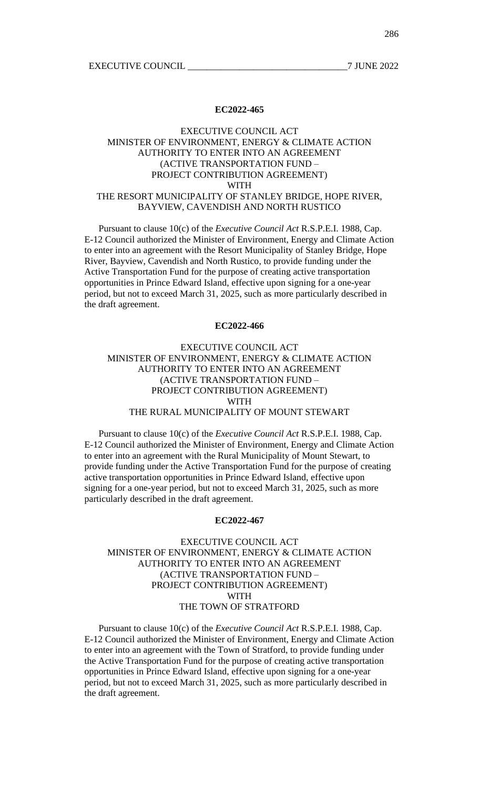## EXECUTIVE COUNCIL ACT MINISTER OF ENVIRONMENT, ENERGY & CLIMATE ACTION AUTHORITY TO ENTER INTO AN AGREEMENT (ACTIVE TRANSPORTATION FUND – PROJECT CONTRIBUTION AGREEMENT) WITH THE RESORT MUNICIPALITY OF STANLEY BRIDGE, HOPE RIVER, BAYVIEW, CAVENDISH AND NORTH RUSTICO

Pursuant to clause 10(c) of the *Executive Council Act* R.S.P.E.I. 1988, Cap. E-12 Council authorized the Minister of Environment, Energy and Climate Action to enter into an agreement with the Resort Municipality of Stanley Bridge, Hope River, Bayview, Cavendish and North Rustico, to provide funding under the Active Transportation Fund for the purpose of creating active transportation opportunities in Prince Edward Island, effective upon signing for a one-year period, but not to exceed March 31, 2025, such as more particularly described in the draft agreement.

### **EC2022-466**

## EXECUTIVE COUNCIL ACT MINISTER OF ENVIRONMENT, ENERGY & CLIMATE ACTION AUTHORITY TO ENTER INTO AN AGREEMENT (ACTIVE TRANSPORTATION FUND – PROJECT CONTRIBUTION AGREEMENT) WITH THE RURAL MUNICIPALITY OF MOUNT STEWART

Pursuant to clause 10(c) of the *Executive Council Act* R.S.P.E.I. 1988, Cap. E-12 Council authorized the Minister of Environment, Energy and Climate Action to enter into an agreement with the Rural Municipality of Mount Stewart, to provide funding under the Active Transportation Fund for the purpose of creating active transportation opportunities in Prince Edward Island, effective upon signing for a one-year period, but not to exceed March 31, 2025, such as more particularly described in the draft agreement.

#### **EC2022-467**

# EXECUTIVE COUNCIL ACT MINISTER OF ENVIRONMENT, ENERGY & CLIMATE ACTION AUTHORITY TO ENTER INTO AN AGREEMENT (ACTIVE TRANSPORTATION FUND – PROJECT CONTRIBUTION AGREEMENT) WITH THE TOWN OF STRATFORD

Pursuant to clause 10(c) of the *Executive Council Act* R.S.P.E.I. 1988, Cap. E-12 Council authorized the Minister of Environment, Energy and Climate Action to enter into an agreement with the Town of Stratford, to provide funding under the Active Transportation Fund for the purpose of creating active transportation opportunities in Prince Edward Island, effective upon signing for a one-year period, but not to exceed March 31, 2025, such as more particularly described in the draft agreement.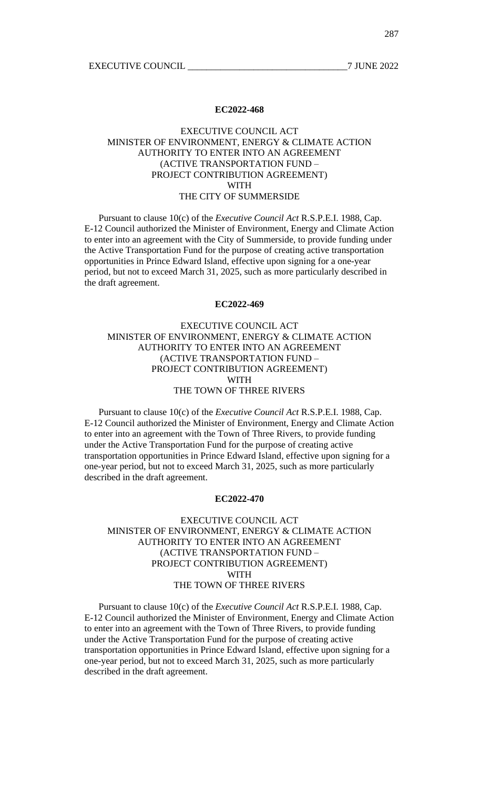EXECUTIVE COUNCIL THE 2022

#### **EC2022-468**

# EXECUTIVE COUNCIL ACT MINISTER OF ENVIRONMENT, ENERGY & CLIMATE ACTION AUTHORITY TO ENTER INTO AN AGREEMENT (ACTIVE TRANSPORTATION FUND – PROJECT CONTRIBUTION AGREEMENT) WITH THE CITY OF SUMMERSIDE

Pursuant to clause 10(c) of the *Executive Council Act* R.S.P.E.I. 1988, Cap. E-12 Council authorized the Minister of Environment, Energy and Climate Action to enter into an agreement with the City of Summerside, to provide funding under the Active Transportation Fund for the purpose of creating active transportation opportunities in Prince Edward Island, effective upon signing for a one-year period, but not to exceed March 31, 2025, such as more particularly described in the draft agreement.

#### **EC2022-469**

# EXECUTIVE COUNCIL ACT MINISTER OF ENVIRONMENT, ENERGY & CLIMATE ACTION AUTHORITY TO ENTER INTO AN AGREEMENT (ACTIVE TRANSPORTATION FUND – PROJECT CONTRIBUTION AGREEMENT) WITH THE TOWN OF THREE RIVERS

Pursuant to clause 10(c) of the *Executive Council Act* R.S.P.E.I. 1988, Cap. E-12 Council authorized the Minister of Environment, Energy and Climate Action to enter into an agreement with the Town of Three Rivers, to provide funding under the Active Transportation Fund for the purpose of creating active transportation opportunities in Prince Edward Island, effective upon signing for a one-year period, but not to exceed March 31, 2025, such as more particularly described in the draft agreement.

# **EC2022-470**

## EXECUTIVE COUNCIL ACT MINISTER OF ENVIRONMENT, ENERGY & CLIMATE ACTION AUTHORITY TO ENTER INTO AN AGREEMENT (ACTIVE TRANSPORTATION FUND – PROJECT CONTRIBUTION AGREEMENT) WITH THE TOWN OF THREE RIVERS

Pursuant to clause 10(c) of the *Executive Council Act* R.S.P.E.I. 1988, Cap. E-12 Council authorized the Minister of Environment, Energy and Climate Action to enter into an agreement with the Town of Three Rivers, to provide funding under the Active Transportation Fund for the purpose of creating active transportation opportunities in Prince Edward Island, effective upon signing for a one-year period, but not to exceed March 31, 2025, such as more particularly described in the draft agreement.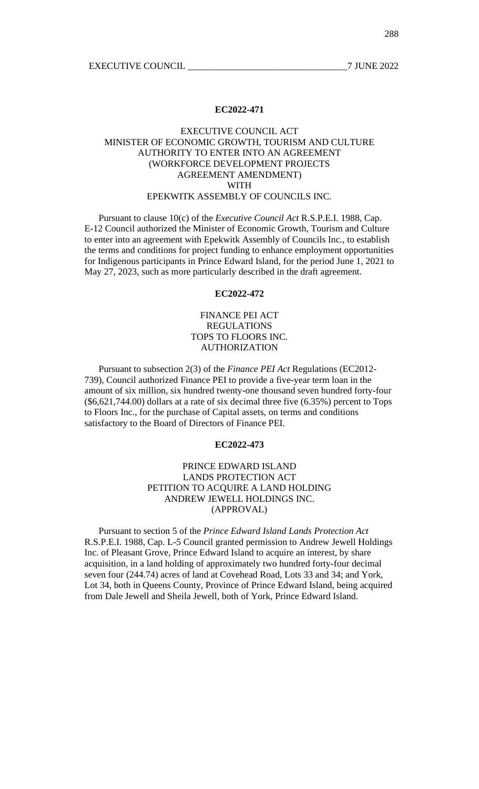# EXECUTIVE COUNCIL ACT MINISTER OF ECONOMIC GROWTH, TOURISM AND CULTURE AUTHORITY TO ENTER INTO AN AGREEMENT (WORKFORCE DEVELOPMENT PROJECTS AGREEMENT AMENDMENT) WITH EPEKWITK ASSEMBLY OF COUNCILS INC.

Pursuant to clause 10(c) of the *Executive Council Act* R.S.P.E.I. 1988, Cap. E-12 Council authorized the Minister of Economic Growth, Tourism and Culture to enter into an agreement with Epekwitk Assembly of Councils Inc., to establish the terms and conditions for project funding to enhance employment opportunities for Indigenous participants in Prince Edward Island, for the period June 1, 2021 to May 27, 2023, such as more particularly described in the draft agreement.

## **EC2022-472**

# FINANCE PEI ACT REGULATIONS TOPS TO FLOORS INC. AUTHORIZATION

Pursuant to subsection 2(3) of the *Finance PEI Act* Regulations (EC2012- 739), Council authorized Finance PEI to provide a five-year term loan in the amount of six million, six hundred twenty-one thousand seven hundred forty-four (\$6,621,744.00) dollars at a rate of six decimal three five (6.35%) percent to Tops to Floors Inc., for the purchase of Capital assets, on terms and conditions satisfactory to the Board of Directors of Finance PEI.

#### **EC2022-473**

## PRINCE EDWARD ISLAND LANDS PROTECTION ACT PETITION TO ACQUIRE A LAND HOLDING ANDREW JEWELL HOLDINGS INC. (APPROVAL)

Pursuant to section 5 of the *Prince Edward Island Lands Protection Act* R.S.P.E.I. 1988, Cap. L-5 Council granted permission to Andrew Jewell Holdings Inc. of Pleasant Grove, Prince Edward Island to acquire an interest, by share acquisition, in a land holding of approximately two hundred forty-four decimal seven four (244.74) acres of land at Covehead Road, Lots 33 and 34; and York, Lot 34, both in Queens County, Province of Prince Edward Island, being acquired from Dale Jewell and Sheila Jewell, both of York, Prince Edward Island.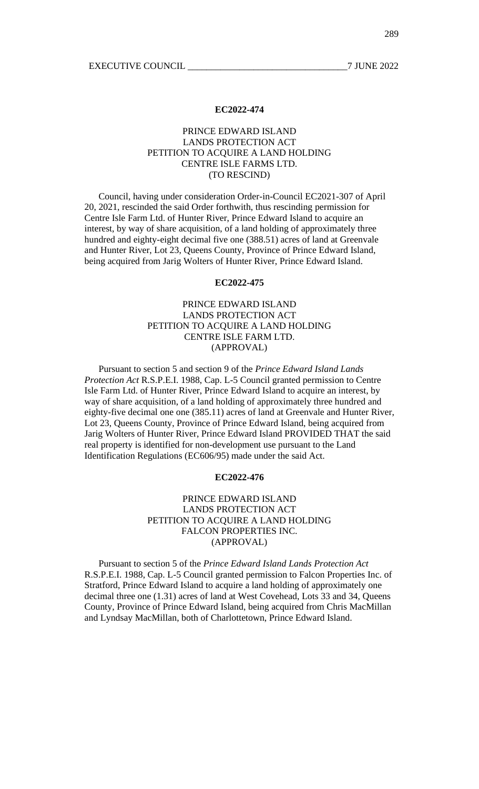## PRINCE EDWARD ISLAND LANDS PROTECTION ACT PETITION TO ACQUIRE A LAND HOLDING CENTRE ISLE FARMS LTD. (TO RESCIND)

Council, having under consideration Order-in-Council EC2021-307 of April 20, 2021, rescinded the said Order forthwith, thus rescinding permission for Centre Isle Farm Ltd. of Hunter River, Prince Edward Island to acquire an interest, by way of share acquisition, of a land holding of approximately three hundred and eighty-eight decimal five one (388.51) acres of land at Greenvale and Hunter River, Lot 23, Queens County, Province of Prince Edward Island, being acquired from Jarig Wolters of Hunter River, Prince Edward Island.

#### **EC2022-475**

# PRINCE EDWARD ISLAND LANDS PROTECTION ACT PETITION TO ACQUIRE A LAND HOLDING CENTRE ISLE FARM LTD. (APPROVAL)

Pursuant to section 5 and section 9 of the *Prince Edward Island Lands Protection Act* R.S.P.E.I. 1988, Cap. L-5 Council granted permission to Centre Isle Farm Ltd. of Hunter River, Prince Edward Island to acquire an interest, by way of share acquisition, of a land holding of approximately three hundred and eighty-five decimal one one (385.11) acres of land at Greenvale and Hunter River, Lot 23, Queens County, Province of Prince Edward Island, being acquired from Jarig Wolters of Hunter River, Prince Edward Island PROVIDED THAT the said real property is identified for non-development use pursuant to the Land Identification Regulations (EC606/95) made under the said Act.

#### **EC2022-476**

## PRINCE EDWARD ISLAND LANDS PROTECTION ACT PETITION TO ACQUIRE A LAND HOLDING FALCON PROPERTIES INC. (APPROVAL)

Pursuant to section 5 of the *Prince Edward Island Lands Protection Act* R.S.P.E.I. 1988, Cap. L-5 Council granted permission to Falcon Properties Inc. of Stratford, Prince Edward Island to acquire a land holding of approximately one decimal three one (1.31) acres of land at West Covehead, Lots 33 and 34, Queens County, Province of Prince Edward Island, being acquired from Chris MacMillan and Lyndsay MacMillan, both of Charlottetown, Prince Edward Island.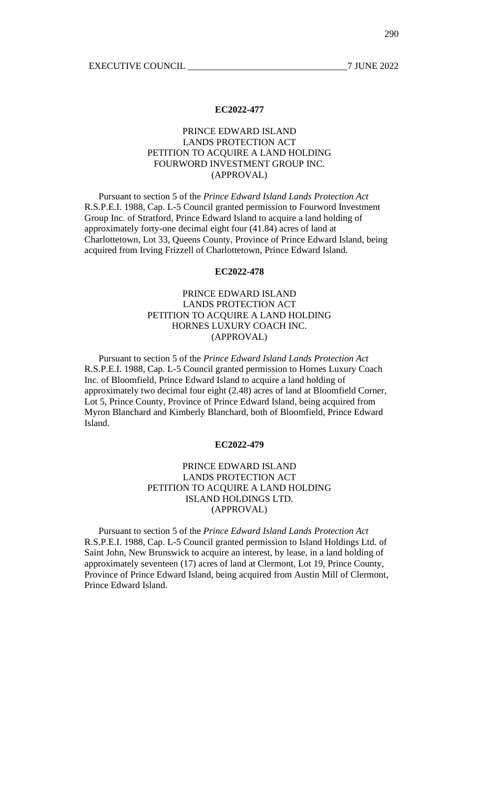# PRINCE EDWARD ISLAND LANDS PROTECTION ACT PETITION TO ACQUIRE A LAND HOLDING FOURWORD INVESTMENT GROUP INC. (APPROVAL)

Pursuant to section 5 of the *Prince Edward Island Lands Protection Act* R.S.P.E.I. 1988, Cap. L-5 Council granted permission to Fourword Investment Group Inc. of Stratford, Prince Edward Island to acquire a land holding of approximately forty-one decimal eight four (41.84) acres of land at Charlottetown, Lot 33, Queens County, Province of Prince Edward Island, being acquired from Irving Frizzell of Charlottetown, Prince Edward Island.

## **EC2022-478**

# PRINCE EDWARD ISLAND LANDS PROTECTION ACT PETITION TO ACQUIRE A LAND HOLDING HORNES LUXURY COACH INC. (APPROVAL)

Pursuant to section 5 of the *Prince Edward Island Lands Protection Act* R.S.P.E.I. 1988, Cap. L-5 Council granted permission to Hornes Luxury Coach Inc. of Bloomfield, Prince Edward Island to acquire a land holding of approximately two decimal four eight (2.48) acres of land at Bloomfield Corner, Lot 5, Prince County, Province of Prince Edward Island, being acquired from Myron Blanchard and Kimberly Blanchard, both of Bloomfield, Prince Edward Island.

#### **EC2022-479**

## PRINCE EDWARD ISLAND LANDS PROTECTION ACT PETITION TO ACQUIRE A LAND HOLDING ISLAND HOLDINGS LTD. (APPROVAL)

Pursuant to section 5 of the *Prince Edward Island Lands Protection Act* R.S.P.E.I. 1988, Cap. L-5 Council granted permission to Island Holdings Ltd. of Saint John, New Brunswick to acquire an interest, by lease, in a land holding of approximately seventeen (17) acres of land at Clermont, Lot 19, Prince County, Province of Prince Edward Island, being acquired from Austin Mill of Clermont, Prince Edward Island.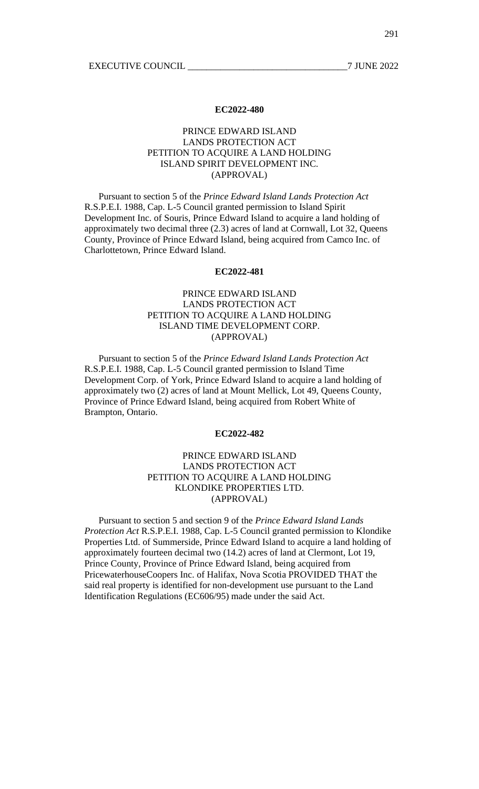# PRINCE EDWARD ISLAND LANDS PROTECTION ACT PETITION TO ACQUIRE A LAND HOLDING ISLAND SPIRIT DEVELOPMENT INC. (APPROVAL)

Pursuant to section 5 of the *Prince Edward Island Lands Protection Act* R.S.P.E.I. 1988, Cap. L-5 Council granted permission to Island Spirit Development Inc. of Souris, Prince Edward Island to acquire a land holding of approximately two decimal three (2.3) acres of land at Cornwall, Lot 32, Queens County, Province of Prince Edward Island, being acquired from Camco Inc. of Charlottetown, Prince Edward Island.

#### **EC2022-481**

# PRINCE EDWARD ISLAND LANDS PROTECTION ACT PETITION TO ACQUIRE A LAND HOLDING ISLAND TIME DEVELOPMENT CORP. (APPROVAL)

Pursuant to section 5 of the *Prince Edward Island Lands Protection Act* R.S.P.E.I. 1988, Cap. L-5 Council granted permission to Island Time Development Corp. of York, Prince Edward Island to acquire a land holding of approximately two (2) acres of land at Mount Mellick, Lot 49, Queens County, Province of Prince Edward Island, being acquired from Robert White of Brampton, Ontario.

## **EC2022-482**

# PRINCE EDWARD ISLAND LANDS PROTECTION ACT PETITION TO ACQUIRE A LAND HOLDING KLONDIKE PROPERTIES LTD. (APPROVAL)

Pursuant to section 5 and section 9 of the *Prince Edward Island Lands Protection Act* R.S.P.E.I. 1988, Cap. L-5 Council granted permission to Klondike Properties Ltd. of Summerside, Prince Edward Island to acquire a land holding of approximately fourteen decimal two (14.2) acres of land at Clermont, Lot 19, Prince County, Province of Prince Edward Island, being acquired from PricewaterhouseCoopers Inc. of Halifax, Nova Scotia PROVIDED THAT the said real property is identified for non-development use pursuant to the Land Identification Regulations (EC606/95) made under the said Act.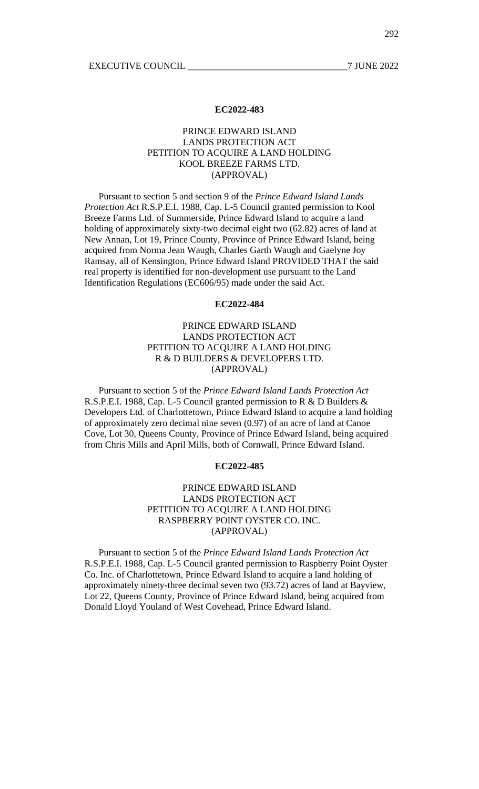## PRINCE EDWARD ISLAND LANDS PROTECTION ACT PETITION TO ACQUIRE A LAND HOLDING KOOL BREEZE FARMS LTD. (APPROVAL)

Pursuant to section 5 and section 9 of the *Prince Edward Island Lands Protection Act* R.S.P.E.I. 1988, Cap. L-5 Council granted permission to Kool Breeze Farms Ltd. of Summerside, Prince Edward Island to acquire a land holding of approximately sixty-two decimal eight two (62.82) acres of land at New Annan, Lot 19, Prince County, Province of Prince Edward Island, being acquired from Norma Jean Waugh, Charles Garth Waugh and Gaelyne Joy Ramsay, all of Kensington, Prince Edward Island PROVIDED THAT the said real property is identified for non-development use pursuant to the Land Identification Regulations (EC606/95) made under the said Act.

#### **EC2022-484**

## PRINCE EDWARD ISLAND LANDS PROTECTION ACT PETITION TO ACQUIRE A LAND HOLDING R & D BUILDERS & DEVELOPERS LTD. (APPROVAL)

Pursuant to section 5 of the *Prince Edward Island Lands Protection Act* R.S.P.E.I. 1988, Cap. L-5 Council granted permission to R & D Builders & Developers Ltd. of Charlottetown, Prince Edward Island to acquire a land holding of approximately zero decimal nine seven (0.97) of an acre of land at Canoe Cove, Lot 30, Queens County, Province of Prince Edward Island, being acquired from Chris Mills and April Mills, both of Cornwall, Prince Edward Island.

## **EC2022-485**

## PRINCE EDWARD ISLAND LANDS PROTECTION ACT PETITION TO ACQUIRE A LAND HOLDING RASPBERRY POINT OYSTER CO. INC. (APPROVAL)

Pursuant to section 5 of the *Prince Edward Island Lands Protection Act* R.S.P.E.I. 1988, Cap. L-5 Council granted permission to Raspberry Point Oyster Co. Inc. of Charlottetown, Prince Edward Island to acquire a land holding of approximately ninety-three decimal seven two (93.72) acres of land at Bayview, Lot 22, Queens County, Province of Prince Edward Island, being acquired from Donald Lloyd Youland of West Covehead, Prince Edward Island.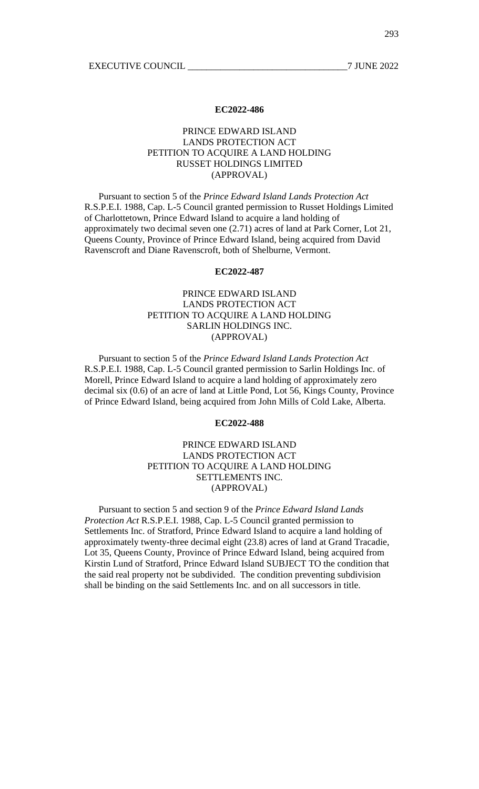## PRINCE EDWARD ISLAND LANDS PROTECTION ACT PETITION TO ACQUIRE A LAND HOLDING RUSSET HOLDINGS LIMITED (APPROVAL)

Pursuant to section 5 of the *Prince Edward Island Lands Protection Act* R.S.P.E.I. 1988, Cap. L-5 Council granted permission to Russet Holdings Limited of Charlottetown, Prince Edward Island to acquire a land holding of approximately two decimal seven one (2.71) acres of land at Park Corner, Lot 21, Queens County, Province of Prince Edward Island, being acquired from David Ravenscroft and Diane Ravenscroft, both of Shelburne, Vermont.

#### **EC2022-487**

# PRINCE EDWARD ISLAND LANDS PROTECTION ACT PETITION TO ACQUIRE A LAND HOLDING SARLIN HOLDINGS INC. (APPROVAL)

Pursuant to section 5 of the *Prince Edward Island Lands Protection Act* R.S.P.E.I. 1988, Cap. L-5 Council granted permission to Sarlin Holdings Inc. of Morell, Prince Edward Island to acquire a land holding of approximately zero decimal six (0.6) of an acre of land at Little Pond, Lot 56, Kings County, Province of Prince Edward Island, being acquired from John Mills of Cold Lake, Alberta.

#### **EC2022-488**

# PRINCE EDWARD ISLAND LANDS PROTECTION ACT PETITION TO ACQUIRE A LAND HOLDING SETTLEMENTS INC. (APPROVAL)

Pursuant to section 5 and section 9 of the *Prince Edward Island Lands Protection Act* R.S.P.E.I. 1988, Cap. L-5 Council granted permission to Settlements Inc. of Stratford, Prince Edward Island to acquire a land holding of approximately twenty-three decimal eight (23.8) acres of land at Grand Tracadie, Lot 35, Queens County, Province of Prince Edward Island, being acquired from Kirstin Lund of Stratford, Prince Edward Island SUBJECT TO the condition that the said real property not be subdivided. The condition preventing subdivision shall be binding on the said Settlements Inc. and on all successors in title.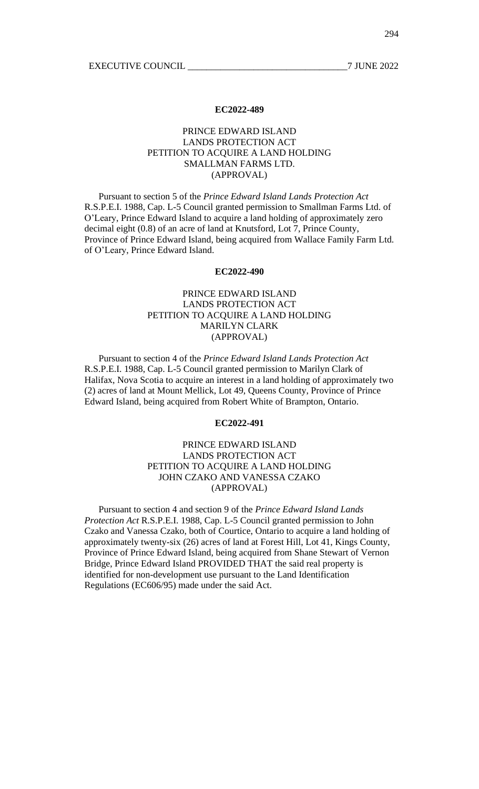# PRINCE EDWARD ISLAND LANDS PROTECTION ACT PETITION TO ACQUIRE A LAND HOLDING SMALLMAN FARMS LTD. (APPROVAL)

Pursuant to section 5 of the *Prince Edward Island Lands Protection Act* R.S.P.E.I. 1988, Cap. L-5 Council granted permission to Smallman Farms Ltd. of O'Leary, Prince Edward Island to acquire a land holding of approximately zero decimal eight (0.8) of an acre of land at Knutsford, Lot 7, Prince County, Province of Prince Edward Island, being acquired from Wallace Family Farm Ltd. of O'Leary, Prince Edward Island.

## **EC2022-490**

# PRINCE EDWARD ISLAND LANDS PROTECTION ACT PETITION TO ACQUIRE A LAND HOLDING MARILYN CLARK (APPROVAL)

Pursuant to section 4 of the *Prince Edward Island Lands Protection Act* R.S.P.E.I. 1988, Cap. L-5 Council granted permission to Marilyn Clark of Halifax, Nova Scotia to acquire an interest in a land holding of approximately two (2) acres of land at Mount Mellick, Lot 49, Queens County, Province of Prince Edward Island, being acquired from Robert White of Brampton, Ontario.

#### **EC2022-491**

# PRINCE EDWARD ISLAND LANDS PROTECTION ACT PETITION TO ACQUIRE A LAND HOLDING JOHN CZAKO AND VANESSA CZAKO (APPROVAL)

Pursuant to section 4 and section 9 of the *Prince Edward Island Lands Protection Act* R.S.P.E.I. 1988, Cap. L-5 Council granted permission to John Czako and Vanessa Czako, both of Courtice, Ontario to acquire a land holding of approximately twenty-six (26) acres of land at Forest Hill, Lot 41, Kings County, Province of Prince Edward Island, being acquired from Shane Stewart of Vernon Bridge, Prince Edward Island PROVIDED THAT the said real property is identified for non-development use pursuant to the Land Identification Regulations (EC606/95) made under the said Act.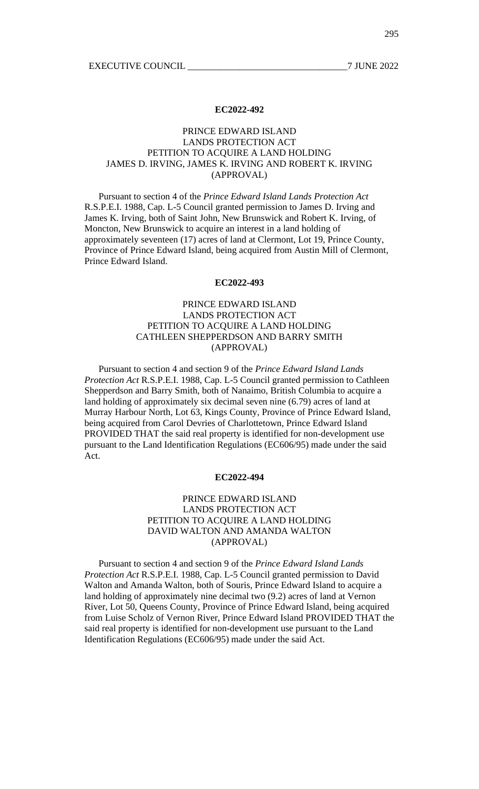# PRINCE EDWARD ISLAND LANDS PROTECTION ACT PETITION TO ACQUIRE A LAND HOLDING JAMES D. IRVING, JAMES K. IRVING AND ROBERT K. IRVING (APPROVAL)

Pursuant to section 4 of the *Prince Edward Island Lands Protection Act* R.S.P.E.I. 1988, Cap. L-5 Council granted permission to James D. Irving and James K. Irving, both of Saint John, New Brunswick and Robert K. Irving, of Moncton, New Brunswick to acquire an interest in a land holding of approximately seventeen (17) acres of land at Clermont, Lot 19, Prince County, Province of Prince Edward Island, being acquired from Austin Mill of Clermont, Prince Edward Island.

#### **EC2022-493**

# PRINCE EDWARD ISLAND LANDS PROTECTION ACT PETITION TO ACQUIRE A LAND HOLDING CATHLEEN SHEPPERDSON AND BARRY SMITH (APPROVAL)

Pursuant to section 4 and section 9 of the *Prince Edward Island Lands Protection Act* R.S.P.E.I. 1988, Cap. L-5 Council granted permission to Cathleen Shepperdson and Barry Smith, both of Nanaimo, British Columbia to acquire a land holding of approximately six decimal seven nine (6.79) acres of land at Murray Harbour North, Lot 63, Kings County, Province of Prince Edward Island, being acquired from Carol Devries of Charlottetown, Prince Edward Island PROVIDED THAT the said real property is identified for non-development use pursuant to the Land Identification Regulations (EC606/95) made under the said Act.

#### **EC2022-494**

## PRINCE EDWARD ISLAND LANDS PROTECTION ACT PETITION TO ACOUIRE A LAND HOLDING DAVID WALTON AND AMANDA WALTON (APPROVAL)

Pursuant to section 4 and section 9 of the *Prince Edward Island Lands Protection Act* R.S.P.E.I. 1988, Cap. L-5 Council granted permission to David Walton and Amanda Walton, both of Souris, Prince Edward Island to acquire a land holding of approximately nine decimal two (9.2) acres of land at Vernon River, Lot 50, Queens County, Province of Prince Edward Island, being acquired from Luise Scholz of Vernon River, Prince Edward Island PROVIDED THAT the said real property is identified for non-development use pursuant to the Land Identification Regulations (EC606/95) made under the said Act.